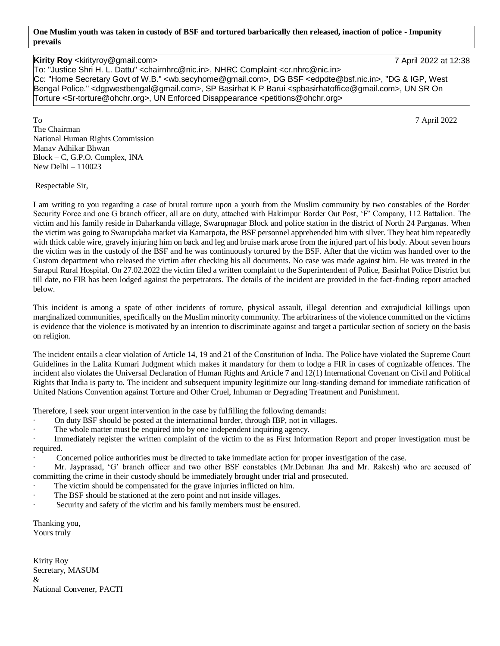**One Muslim youth was taken in custody of BSF and tortured barbarically then released, inaction of police - Impunity prevails**

## **Kirity Roy** <kirityroy@gmail.com> 7 April 2022 at 12:38

To: "Justice Shri H. L. Dattu" <chairnhrc@nic.in>, NHRC Complaint <cr.nhrc@nic.in> Cc: "Home Secretary Govt of W.B." <wb.secyhome@gmail.com>, DG BSF <edpdte@bsf.nic.in>, "DG & IGP, West Bengal Police." <dgpwestbengal@gmail.com>, SP Basirhat K P Barui <spbasirhatoffice@gmail.com>, UN SR On Torture <Sr-torture@ohchr.org>, UN Enforced Disappearance <petitions@ohchr.org>

To 7 April 2022 The Chairman National Human Rights Commission Manav Adhikar Bhwan Block – C, G.P.O. Complex, INA New Delhi – 110023

Respectable Sir,

I am writing to you regarding a case of brutal torture upon a youth from the Muslim community by two constables of the Border Security Force and one G branch officer, all are on duty, attached with Hakimpur Border Out Post, 'F' Company, 112 Battalion. The victim and his family reside in Daharkanda village, Swarupnagar Block and police station in the district of North 24 Parganas. When the victim was going to Swarupdaha market via Kamarpota, the BSF personnel apprehended him with silver. They beat him repeatedly with thick cable wire, gravely injuring him on back and leg and bruise mark arose from the injured part of his body. About seven hours the victim was in the custody of the BSF and he was continuously tortured by the BSF. After that the victim was handed over to the Custom department who released the victim after checking his all documents. No case was made against him. He was treated in the Sarapul Rural Hospital. On 27.02.2022 the victim filed a written complaint to the Superintendent of Police, Basirhat Police District but till date, no FIR has been lodged against the perpetrators. The details of the incident are provided in the fact-finding report attached below.

This incident is among a spate of other incidents of torture, physical assault, illegal detention and extrajudicial killings upon marginalized communities, specifically on the Muslim minority community. The arbitrariness of the violence committed on the victims is evidence that the violence is motivated by an intention to discriminate against and target a particular section of society on the basis on religion.

The incident entails a clear violation of Article 14, 19 and 21 of the Constitution of India. The Police have violated the Supreme Court Guidelines in the Lalita Kumari Judgment which makes it mandatory for them to lodge a FIR in cases of cognizable offences. The incident also violates the Universal Declaration of Human Rights and Article 7 and 12(1) International Covenant on Civil and Political Rights that India is party to. The incident and subsequent impunity legitimize our long-standing demand for immediate ratification of United Nations Convention against Torture and Other Cruel, Inhuman or Degrading Treatment and Punishment.

Therefore, I seek your urgent intervention in the case by fulfilling the following demands:

- · On duty BSF should be posted at the international border, through IBP, not in villages.
- The whole matter must be enquired into by one independent inquiring agency.

Immediately register the written complaint of the victim to the as First Information Report and proper investigation must be required.

Concerned police authorities must be directed to take immediate action for proper investigation of the case.

· Mr. Jayprasad, 'G' branch officer and two other BSF constables (Mr.Debanan Jha and Mr. Rakesh) who are accused of committing the crime in their custody should be immediately brought under trial and prosecuted.

- The victim should be compensated for the grave injuries inflicted on him.
- The BSF should be stationed at the zero point and not inside villages.
- Security and safety of the victim and his family members must be ensured.

Thanking you, Yours truly

Kirity Roy Secretary, MASUM & National Convener, PACTI